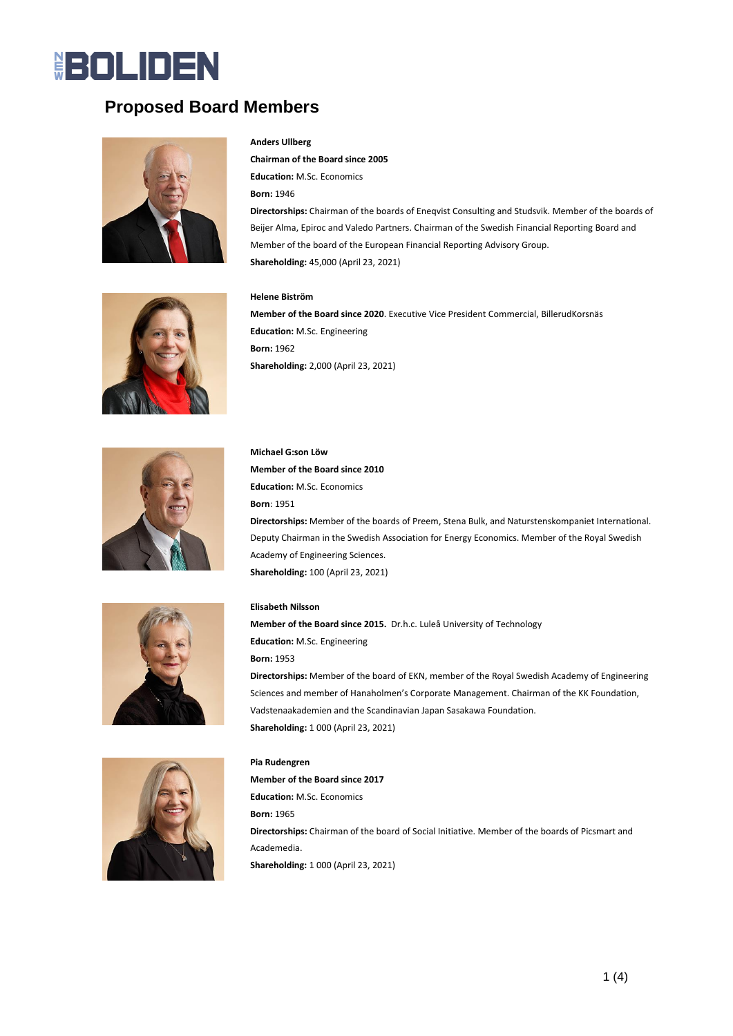# **BOLIDEN**

# **Proposed Board Members**



#### **Anders Ullberg**

**Chairman of the Board since 2005 Education:** M.Sc. Economics **Born:** 1946 **Directorships:** Chairman of the boards of Eneqvist Consulting and Studsvik. Member of the boards of Beijer Alma, Epiroc and Valedo Partners. Chairman of the Swedish Financial Reporting Board and Member of the board of the European Financial Reporting Advisory Group. **Shareholding:** 45,000 (April 23, 2021)



#### **Helene Biström**

**Member of the Board since 2020**. Executive Vice President Commercial, BillerudKorsnäs **Education:** M.Sc. Engineering **Born:** 1962 **Shareholding:** 2,000 (April 23, 2021)







**Elisabeth Nilsson Member of the Board since 2015.** Dr.h.c. Luleå University of Technology **Education:** M.Sc. Engineering **Born:** 1953 **Directorships:** Member of the board of EKN, member of the Royal Swedish Academy of Engineering Sciences and member of Hanaholmen's Corporate Management. Chairman of the KK Foundation, Vadstenaakademien and the Scandinavian Japan Sasakawa Foundation. **Shareholding:** 1 000 (April 23, 2021)



**Pia Rudengren Member of the Board since 2017 Education:** M.Sc. Economics **Born:** 1965 **Directorships:** Chairman of the board of Social Initiative. Member of the boards of Picsmart and Academedia. **Shareholding:** 1 000 (April 23, 2021)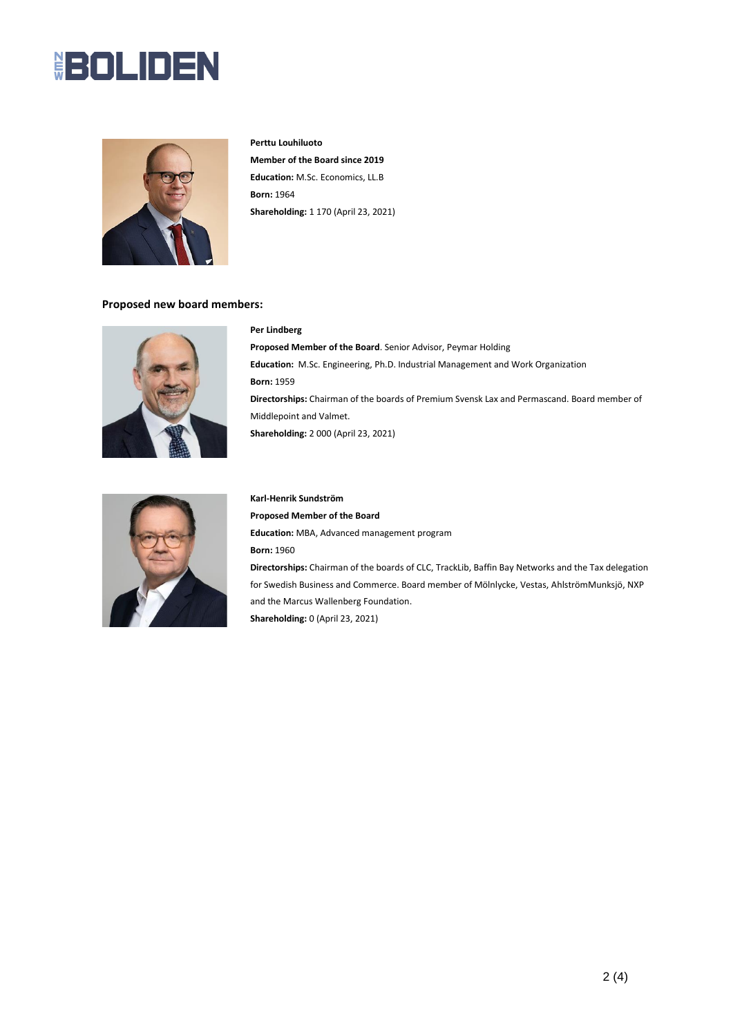# **BOLIDEN**



**Perttu Louhiluoto Member of the Board since 2019 Education:** M.Sc. Economics, LL.B **Born:** 1964 **Shareholding:** 1 170 (April 23, 2021)

#### **Proposed new board members:**



### **Per Lindberg**

**Proposed Member of the Board**. Senior Advisor, Peymar Holding **Education:** M.Sc. Engineering, Ph.D. Industrial Management and Work Organization **Born:** 1959 **Directorships:** Chairman of the boards of Premium Svensk Lax and Permascand. Board member of Middlepoint and Valmet. **Shareholding:** 2 000 (April 23, 2021)



## **Karl-Henrik Sundström Proposed Member of the Board Education:** MBA, Advanced management program **Born:** 1960 **Directorships:** Chairman of the boards of CLC, TrackLib, Baffin Bay Networks and the Tax delegation for Swedish Business and Commerce. Board member of Mölnlycke, Vestas, AhlströmMunksjö, NXP and the Marcus Wallenberg Foundation. **Shareholding:** 0 (April 23, 2021)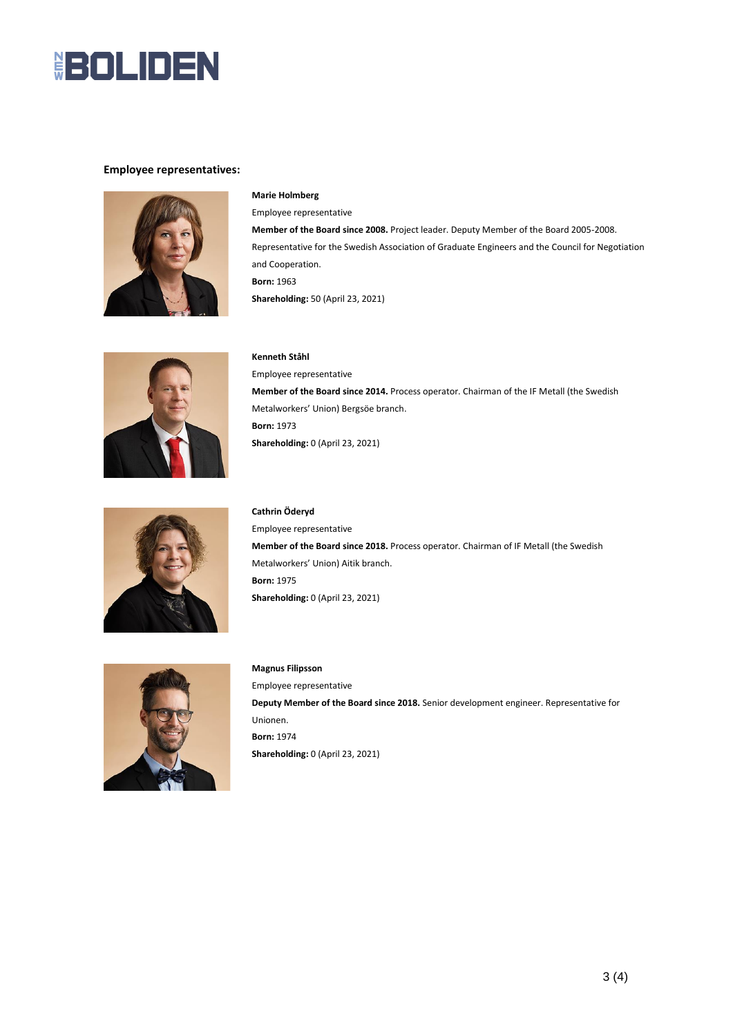

#### **Employee representatives:**



#### **Marie Holmberg**

Employee representative **Member of the Board since 2008.** Project leader. Deputy Member of the Board 2005-2008. Representative for the Swedish Association of Graduate Engineers and the Council for Negotiation and Cooperation. **Born:** 1963 **Shareholding:** 50 (April 23, 2021)



### **Kenneth Ståhl**

Employee representative **Member of the Board since 2014.** Process operator. Chairman of the IF Metall (the Swedish Metalworkers' Union) Bergsöe branch. **Born:** 1973 **Shareholding:** 0 (April 23, 2021)



#### **Cathrin Öderyd**

Employee representative **Member of the Board since 2018.** Process operator. Chairman of IF Metall (the Swedish Metalworkers' Union) Aitik branch. **Born:** 1975 **Shareholding:** 0 (April 23, 2021)



### **Magnus Filipsson** Employee representative **Deputy Member of the Board since 2018.** Senior development engineer. Representative for Unionen. **Born:** 1974 **Shareholding:** 0 (April 23, 2021)